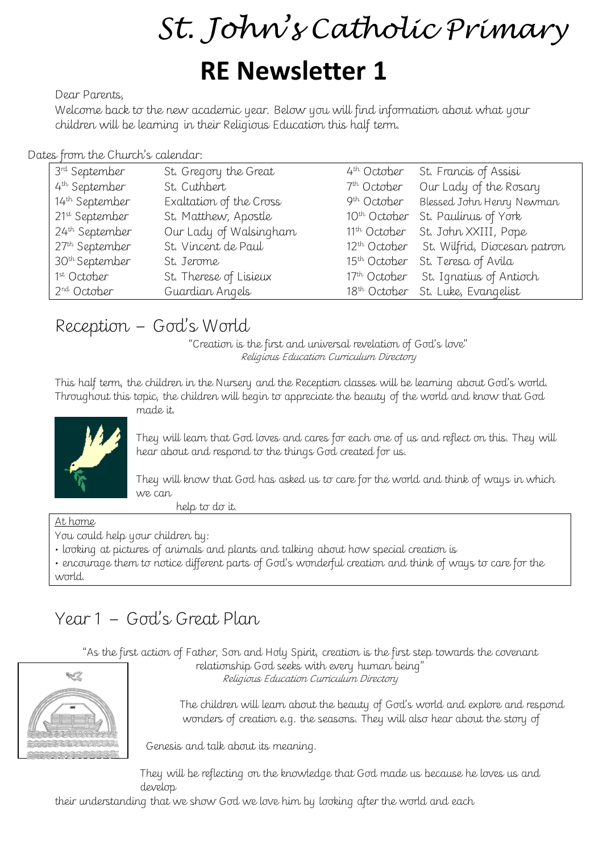# *St. John' s Catholic Primary*

## **RE Newsletter 1**

Dear Parents,

Welcome back to the new academic year. Below you will find information about what your children will be learning in their Religious Education this half term.

#### Dates from the Church's calendar:

| 3 <sup>rd</sup> September  | St. Gregory the Great   | 4 <sup>th</sup> October | St. Francis of Assisi                                 |
|----------------------------|-------------------------|-------------------------|-------------------------------------------------------|
| 4 <sup>th</sup> September  | St. Cuthbert            | 7 <sup>th</sup> October | Our Lady of the Rosary                                |
| 14th September             | Exaltation of the Cross | 9 <sup>th</sup> October | Blessed John Henry Newman                             |
| 21st September             | St. Matthew, Apostle    |                         | 10th October St. Paulinus of York                     |
| 24th September             | Our Lady of Walsingham  |                         | 11 <sup>th</sup> October St. John XXIII, Pope         |
| 27th September             | St. Vincent de Paul     |                         | 12 <sup>th</sup> October St. Wilfrid, Diocesan patron |
| 30 <sup>th</sup> September | St. Jerome              |                         | 15 <sup>th</sup> October St. Teresa of Avila          |
| 1 <sup>st</sup> October    | St. Therese of Lisieux  |                         | 17th October St. Ignatius of Antioch                  |
| 2 <sup>nd</sup> October    | Guardian Angels         |                         | 18 <sup>th</sup> October St. Luke, Evangelist         |

## Reception – God's World

made it.

"Creation is the first and universal revelation of God's love" Religious Education Curriculum Directory

This half term, the children in the Nursery and the Reception classes will be learning about God's world. Throughout this topic, the children will begin to appreciate the beauty of the world and know that God



They will learn that God loves and cares for each one of us and reflect on this. They will hear about and respond to the things God created for us.

They will know that God has asked us to care for the world and think of ways in which we can

help to do it.

#### At home

You could help your children by:

• looking at pictures of animals and plants and talking about how special creation is

• encourage them to notice different parts of God's wonderful creation and think of ways to care for the world.

## Year 1 – God's Great Plan

"As the first action of Father, Son and Holy Spirit, creation is the first step towards the covenant relationship God seeks with every human being"

Religious Education Curriculum Directory



 The children will learn about the beauty of God's world and explore and respond wonders of creation e.g. the seasons. They will also hear about the story of

Genesis and talk about its meaning.

They will be reflecting on the knowledge that God made us because he loves us and develop

their understanding that we show God we love him by looking after the world and each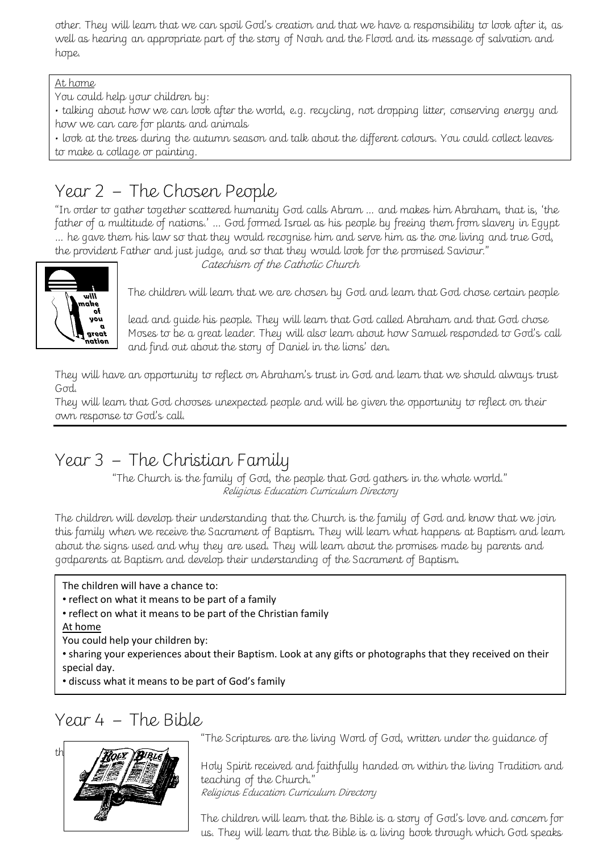other. They will learn that we can spoil God's creation and that we have a responsibility to look after it, as well as hearing an appropriate part of the story of Noah and the Flood and its message of salvation and hope.

#### At home

You could help your children by:

• talking about how we can look after the world, e.g. recycling, not dropping litter, conserving energy and how we can care for plants and animals

• look at the trees during the autumn season and talk about the different colours. You could collect leaves to make a collage or painting.

## Year 2 – The Chosen People

"In order to gather together scattered humanity God calls Abram … and makes him Abraham, that is, 'the father of a multitude of nations.' … God formed Israel as his people by freeing them from slavery in Egypt … he gave them his law so that they would recognise him and serve him as the one living and true God, the provident Father and just judge, and so that they would look for the promised Saviour."



Catechism of the Catholic Church

 $T$  The children will learn that we are chosen by God and learn that God chose certain people

lead and guide his people. They will learn that God called Abraham and that God chose Moses to be a great leader. They will also learn about how Samuel responded to God's call and find out about the story of Daniel in the lions' den.

They will have an opportunity to reflect on Abraham's trust in God and learn that we should always trust God.

They will learn that God chooses unexpected people and will be given the opportunity to reflect on their own response to God's call.

## Year 3 – The Christian Family

"The Church is the family of God, the people that God gathers in the whole world." Religious Education Curriculum Directory

The children will develop their understanding that the Church is the family of God and know that we join this family when we receive the Sacrament of Baptism. They will learn what happens at Baptism and learn about the signs used and why they are used. They will learn about the promises made by parents and godparents at Baptism and develop their understanding of the Sacrament of Baptism.

The children will have a chance to:

• reflect on what it means to be part of a family

• reflect on what it means to be part of the Christian family At home

You could help your children by:

• sharing your experiences about their Baptism. Look at any gifts or photographs that they received on their special day.

• discuss what it means to be part of God's family

#### Year 4 – The Bible



"The Scriptures are the living Word of God, written under the guidance of

Holy Spirit received and faithfully handed on within the living Tradition and teaching of the Church." Religious Education Curriculum Directory

The children will learn that the Bible is a story of God's love and concern for us. They will learn that the Bible is a living book through which God speaks